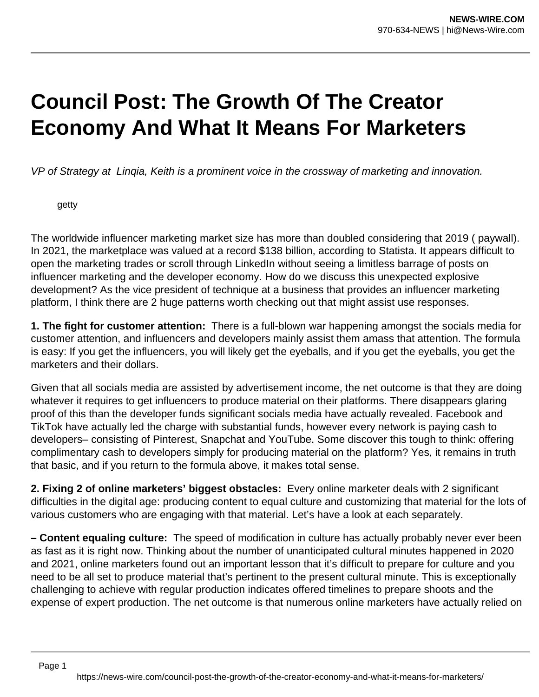## **Council Post: The Growth Of The Creator Economy And What It Means For Marketers**

VP of Strategy at Linqia, Keith is a prominent voice in the crossway of marketing and innovation.

getty

The worldwide influencer marketing market size has more than doubled considering that 2019 ( paywall). In 2021, the marketplace was valued at a record \$138 billion, according to Statista. It appears difficult to open the marketing trades or scroll through LinkedIn without seeing a limitless barrage of posts on influencer marketing and the developer economy. How do we discuss this unexpected explosive development? As the vice president of technique at a business that provides an influencer marketing platform, I think there are 2 huge patterns worth checking out that might assist use responses.

**1. The fight for customer attention:** There is a full-blown war happening amongst the socials media for customer attention, and influencers and developers mainly assist them amass that attention. The formula is easy: If you get the influencers, you will likely get the eyeballs, and if you get the eyeballs, you get the marketers and their dollars.

Given that all socials media are assisted by advertisement income, the net outcome is that they are doing whatever it requires to get influencers to produce material on their platforms. There disappears glaring proof of this than the developer funds significant socials media have actually revealed. Facebook and TikTok have actually led the charge with substantial funds, however every network is paying cash to developers– consisting of Pinterest, Snapchat and YouTube. Some discover this tough to think: offering complimentary cash to developers simply for producing material on the platform? Yes, it remains in truth that basic, and if you return to the formula above, it makes total sense.

**2. Fixing 2 of online marketers' biggest obstacles:** Every online marketer deals with 2 significant difficulties in the digital age: producing content to equal culture and customizing that material for the lots of various customers who are engaging with that material. Let's have a look at each separately.

**– Content equaling culture:** The speed of modification in culture has actually probably never ever been as fast as it is right now. Thinking about the number of unanticipated cultural minutes happened in 2020 and 2021, online marketers found out an important lesson that it's difficult to prepare for culture and you need to be all set to produce material that's pertinent to the present cultural minute. This is exceptionally challenging to achieve with regular production indicates offered timelines to prepare shoots and the expense of expert production. The net outcome is that numerous online marketers have actually relied on